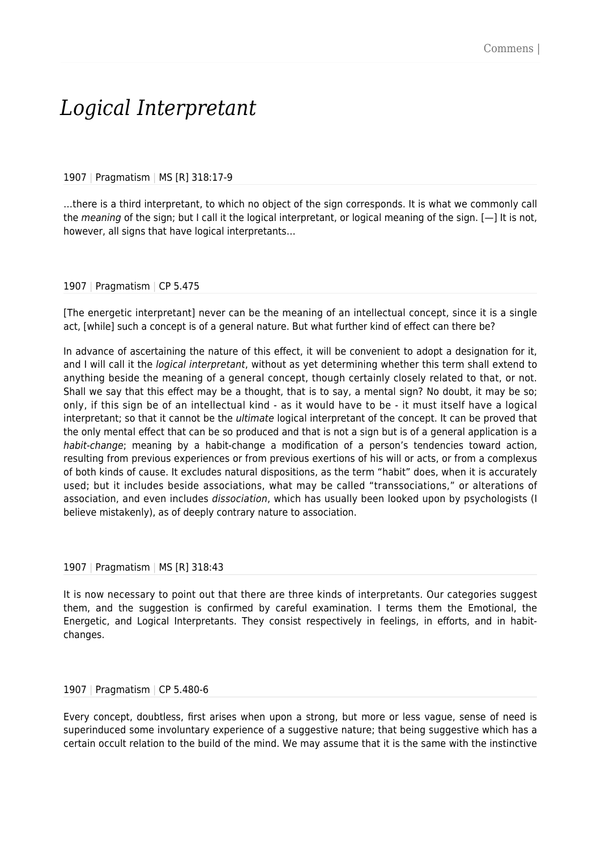# *Logical Interpretant*

## 1907 | Pragmatism | MS [R] 318:17-9

…there is a third interpretant, to which no object of the sign corresponds. It is what we commonly call the *meaning* of the sign; but I call it the logical interpretant, or logical meaning of the sign. [- all t is not, however, all signs that have logical interpretants…

## 1907 | Pragmatism | CP 5.475

[The energetic interpretant] never can be the meaning of an intellectual concept, since it is a single act, [while] such a concept is of a general nature. But what further kind of effect can there be?

In advance of ascertaining the nature of this effect, it will be convenient to adopt a designation for it, and I will call it the logical interpretant, without as yet determining whether this term shall extend to anything beside the meaning of a general concept, though certainly closely related to that, or not. Shall we say that this effect may be a thought, that is to say, a mental sign? No doubt, it may be so; only, if this sign be of an intellectual kind - as it would have to be - it must itself have a logical interpretant; so that it cannot be the ultimate logical interpretant of the concept. It can be proved that the only mental effect that can be so produced and that is not a sign but is of a general application is a habit-change; meaning by a habit-change a modification of a person's tendencies toward action, resulting from previous experiences or from previous exertions of his will or acts, or from a complexus of both kinds of cause. It excludes natural dispositions, as the term "habit" does, when it is accurately used; but it includes beside associations, what may be called "transsociations," or alterations of association, and even includes *dissociation*, which has usually been looked upon by psychologists (I believe mistakenly), as of deeply contrary nature to association.

### 1907 | Pragmatism | MS [R] 318:43

It is now necessary to point out that there are three kinds of interpretants. Our categories suggest them, and the suggestion is confirmed by careful examination. I terms them the Emotional, the Energetic, and Logical Interpretants. They consist respectively in feelings, in efforts, and in habitchanges.

### 1907 | Pragmatism | CP 5.480-6

Every concept, doubtless, first arises when upon a strong, but more or less vague, sense of need is superinduced some involuntary experience of a suggestive nature; that being suggestive which has a certain occult relation to the build of the mind. We may assume that it is the same with the instinctive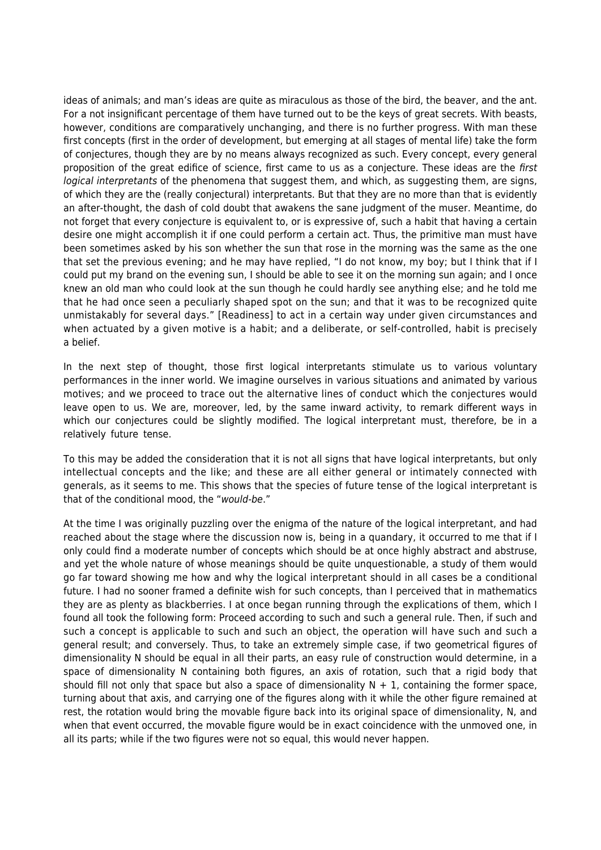ideas of animals; and man's ideas are quite as miraculous as those of the bird, the beaver, and the ant. For a not insignificant percentage of them have turned out to be the keys of great secrets. With beasts, however, conditions are comparatively unchanging, and there is no further progress. With man these first concepts (first in the order of development, but emerging at all stages of mental life) take the form of conjectures, though they are by no means always recognized as such. Every concept, every general proposition of the great edifice of science, first came to us as a conjecture. These ideas are the first logical interpretants of the phenomena that suggest them, and which, as suggesting them, are signs, of which they are the (really conjectural) interpretants. But that they are no more than that is evidently an after-thought, the dash of cold doubt that awakens the sane judgment of the muser. Meantime, do not forget that every conjecture is equivalent to, or is expressive of, such a habit that having a certain desire one might accomplish it if one could perform a certain act. Thus, the primitive man must have been sometimes asked by his son whether the sun that rose in the morning was the same as the one that set the previous evening; and he may have replied, "I do not know, my boy; but I think that if I could put my brand on the evening sun, I should be able to see it on the morning sun again; and I once knew an old man who could look at the sun though he could hardly see anything else; and he told me that he had once seen a peculiarly shaped spot on the sun; and that it was to be recognized quite unmistakably for several days." [Readiness] to act in a certain way under given circumstances and when actuated by a given motive is a habit; and a deliberate, or self-controlled, habit is precisely a belief.

In the next step of thought, those first logical interpretants stimulate us to various voluntary performances in the inner world. We imagine ourselves in various situations and animated by various motives; and we proceed to trace out the alternative lines of conduct which the conjectures would leave open to us. We are, moreover, led, by the same inward activity, to remark different ways in which our conjectures could be slightly modified. The logical interpretant must, therefore, be in a relatively future tense.

To this may be added the consideration that it is not all signs that have logical interpretants, but only intellectual concepts and the like; and these are all either general or intimately connected with generals, as it seems to me. This shows that the species of future tense of the logical interpretant is that of the conditional mood, the "would-be."

At the time I was originally puzzling over the enigma of the nature of the logical interpretant, and had reached about the stage where the discussion now is, being in a quandary, it occurred to me that if I only could find a moderate number of concepts which should be at once highly abstract and abstruse, and yet the whole nature of whose meanings should be quite unquestionable, a study of them would go far toward showing me how and why the logical interpretant should in all cases be a conditional future. I had no sooner framed a definite wish for such concepts, than I perceived that in mathematics they are as plenty as blackberries. I at once began running through the explications of them, which I found all took the following form: Proceed according to such and such a general rule. Then, if such and such a concept is applicable to such and such an object, the operation will have such and such a general result; and conversely. Thus, to take an extremely simple case, if two geometrical figures of dimensionality N should be equal in all their parts, an easy rule of construction would determine, in a space of dimensionality N containing both figures, an axis of rotation, such that a rigid body that should fill not only that space but also a space of dimensionality  $N + 1$ , containing the former space, turning about that axis, and carrying one of the figures along with it while the other figure remained at rest, the rotation would bring the movable figure back into its original space of dimensionality, N, and when that event occurred, the movable figure would be in exact coincidence with the unmoved one, in all its parts; while if the two figures were not so equal, this would never happen.